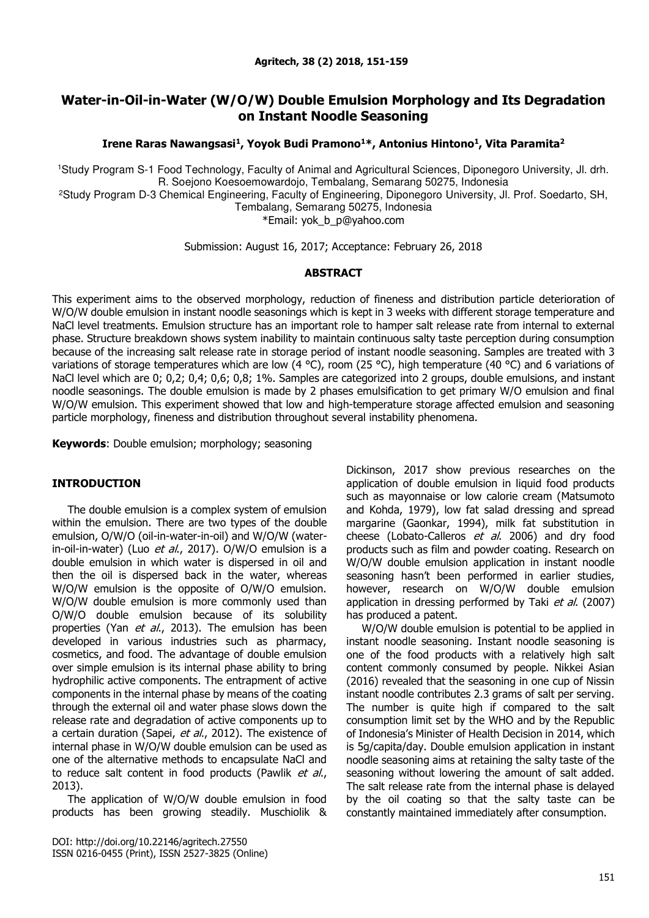# **Water-in-Oil-in-Water (W/O/W) Double Emulsion Morphology and Its Degradation on Instant Noodle Seasoning**

**Irene Raras Nawangsasi<sup>1</sup> , Yoyok Budi Pramono<sup>1</sup>\*, Antonius Hintono<sup>1</sup> , Vita Paramita<sup>2</sup>**

<sup>1</sup>Study Program S-1 Food Technology, Faculty of Animal and Agricultural Sciences, Diponegoro University, Jl. drh. R. Soejono Koesoemowardojo, Tembalang, Semarang 50275, Indonesia

<sup>2</sup>Study Program D-3 Chemical Engineering, Faculty of Engineering, Diponegoro University, Jl. Prof. Soedarto, SH, Tembalang, Semarang 50275, Indonesia

\*Email: [yok\\_b\\_p@yahoo.com](mailto:elisabethraras@gmail.com)

Submission: August 16, 2017; Acceptance: February 26, 2018

## **ABSTRACT**

This experiment aims to the observed morphology, reduction of fineness and distribution particle deterioration of W/O/W double emulsion in instant noodle seasonings which is kept in 3 weeks with different storage temperature and NaCl level treatments. Emulsion structure has an important role to hamper salt release rate from internal to external phase. Structure breakdown shows system inability to maintain continuous salty taste perception during consumption because of the increasing salt release rate in storage period of instant noodle seasoning. Samples are treated with 3 variations of storage temperatures which are low (4 °C), room (25 °C), high temperature (40 °C) and 6 variations of NaCl level which are 0; 0,2; 0,4; 0,6; 0,8; 1%. Samples are categorized into 2 groups, double emulsions, and instant noodle seasonings. The double emulsion is made by 2 phases emulsification to get primary W/O emulsion and final W/O/W emulsion. This experiment showed that low and high-temperature storage affected emulsion and seasoning particle morphology, fineness and distribution throughout several instability phenomena.

**Keywords**: Double emulsion; morphology; seasoning

## **INTRODUCTION**

The double emulsion is a complex system of emulsion within the emulsion. There are two types of the double emulsion, O/W/O (oil-in-water-in-oil) and W/O/W (waterin-oil-in-water) (Luo et al., 2017). O/W/O emulsion is a double emulsion in which water is dispersed in oil and then the oil is dispersed back in the water, whereas W/O/W emulsion is the opposite of O/W/O emulsion. W/O/W double emulsion is more commonly used than O/W/O double emulsion because of its solubility properties (Yan et al., 2013). The emulsion has been developed in various industries such as pharmacy, cosmetics, and food. The advantage of double emulsion over simple emulsion is its internal phase ability to bring hydrophilic active components. The entrapment of active components in the internal phase by means of the coating through the external oil and water phase slows down the release rate and degradation of active components up to a certain duration (Sapei, et al., 2012). The existence of internal phase in W/O/W double emulsion can be used as one of the alternative methods to encapsulate NaCl and to reduce salt content in food products (Pawlik et al., 2013).

The application of W/O/W double emulsion in food products has been growing steadily. Muschiolik &

DOI: http://doi.org/10.22146/agritech.27550 ISSN 0216-0455 (Print), ISSN 2527-3825 (Online) Dickinson, 2017 show previous researches on the application of double emulsion in liquid food products such as mayonnaise or low calorie cream (Matsumoto and Kohda, 1979), low fat salad dressing and spread margarine (Gaonkar, 1994), milk fat substitution in cheese (Lobato-Calleros et al. 2006) and dry food products such as film and powder coating. Research on W/O/W double emulsion application in instant noodle seasoning hasn't been performed in earlier studies, however, research on W/O/W double emulsion application in dressing performed by Taki et al. (2007) has produced a patent.

W/O/W double emulsion is potential to be applied in instant noodle seasoning. Instant noodle seasoning is one of the food products with a relatively high salt content commonly consumed by people. Nikkei Asian (2016) revealed that the seasoning in one cup of Nissin instant noodle contributes 2.3 grams of salt per serving. The number is quite high if compared to the salt consumption limit set by the WHO and by the Republic of Indonesia's Minister of Health Decision in 2014, which is 5g/capita/day. Double emulsion application in instant noodle seasoning aims at retaining the salty taste of the seasoning without lowering the amount of salt added. The salt release rate from the internal phase is delayed by the oil coating so that the salty taste can be constantly maintained immediately after consumption.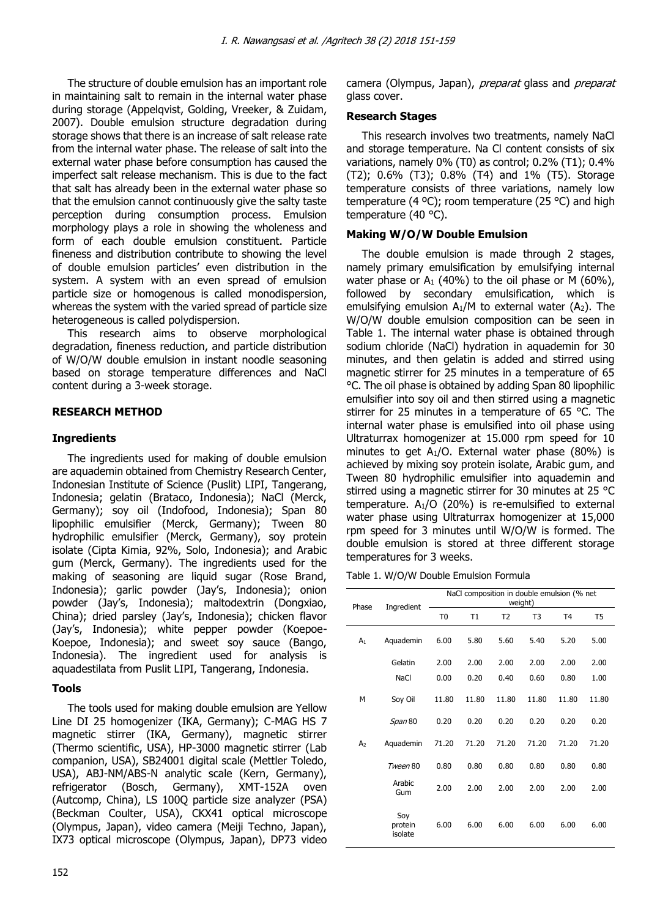The structure of double emulsion has an important role in maintaining salt to remain in the internal water phase during storage (Appelqvist, Golding, Vreeker, & Zuidam, 2007). Double emulsion structure degradation during storage shows that there is an increase of salt release rate from the internal water phase. The release of salt into the external water phase before consumption has caused the imperfect salt release mechanism. This is due to the fact that salt has already been in the external water phase so that the emulsion cannot continuously give the salty taste perception during consumption process. Emulsion morphology plays a role in showing the wholeness and form of each double emulsion constituent. Particle fineness and distribution contribute to showing the level of double emulsion particles' even distribution in the system. A system with an even spread of emulsion particle size or homogenous is called monodispersion, whereas the system with the varied spread of particle size heterogeneous is called polydispersion.

This research aims to observe morphological degradation, fineness reduction, and particle distribution of W/O/W double emulsion in instant noodle seasoning based on storage temperature differences and NaCl content during a 3-week storage.

# **RESEARCH METHOD**

# **Ingredients**

The ingredients used for making of double emulsion are aquademin obtained from Chemistry Research Center, Indonesian Institute of Science (Puslit) LIPI, Tangerang, Indonesia; gelatin (Brataco, Indonesia); NaCl (Merck, Germany); soy oil (Indofood, Indonesia); Span 80 lipophilic emulsifier (Merck, Germany); Tween 80 hydrophilic emulsifier (Merck, Germany), soy protein isolate (Cipta Kimia, 92%, Solo, Indonesia); and Arabic gum (Merck, Germany). The ingredients used for the making of seasoning are liquid sugar (Rose Brand, Indonesia); garlic powder (Jay's, Indonesia); onion powder (Jay's, Indonesia); maltodextrin (Dongxiao, China); dried parsley (Jay's, Indonesia); chicken flavor (Jay's, Indonesia); white pepper powder (Koepoe-Koepoe, Indonesia); and sweet soy sauce (Bango, Indonesia). The ingredient used for analysis is aquadestilata from Puslit LIPI, Tangerang, Indonesia.

# **Tools**

The tools used for making double emulsion are Yellow Line DI 25 homogenizer (IKA, Germany); C-MAG HS 7 magnetic stirrer (IKA, Germany), magnetic stirrer (Thermo scientific, USA), HP-3000 magnetic stirrer (Lab companion, USA), SB24001 digital scale (Mettler Toledo, USA), ABJ-NM/ABS-N analytic scale (Kern, Germany), refrigerator (Bosch, Germany), XMT-152A oven (Autcomp, China), LS 100Q particle size analyzer (PSA) (Beckman Coulter, USA), CKX41 optical microscope (Olympus, Japan), video camera (Meiji Techno, Japan), IX73 optical microscope (Olympus, Japan), DP73 video camera (Olympus, Japan), *preparat* glass and *preparat* glass cover.

# **Research Stages**

This research involves two treatments, namely NaCl and storage temperature. Na Cl content consists of six variations, namely 0% (T0) as control; 0.2% (T1); 0.4% (T2); 0.6% (T3); 0.8% (T4) and 1% (T5). Storage temperature consists of three variations, namely low temperature (4 ºC); room temperature (25 °C) and high temperature (40 °C).

# **Making W/O/W Double Emulsion**

The double emulsion is made through 2 stages, namely primary emulsification by emulsifying internal water phase or A<sub>1</sub> (40%) to the oil phase or M (60%), followed by secondary emulsification, which is emulsifying emulsion  $A_1/M$  to external water ( $A_2$ ). The W/O/W double emulsion composition can be seen in Table 1. The internal water phase is obtained through sodium chloride (NaCl) hydration in aquademin for 30 minutes, and then gelatin is added and stirred using magnetic stirrer for 25 minutes in a temperature of 65 °C. The oil phase is obtained by adding Span 80 lipophilic emulsifier into soy oil and then stirred using a magnetic stirrer for 25 minutes in a temperature of 65 °C. The internal water phase is emulsified into oil phase using Ultraturrax homogenizer at 15.000 rpm speed for 10 minutes to get A1/O. External water phase (80%) is achieved by mixing soy protein isolate, Arabic gum, and Tween 80 hydrophilic emulsifier into aquademin and stirred using a magnetic stirrer for 30 minutes at 25 °C temperature.  $A_1/O$  (20%) is re-emulsified to external water phase using Ultraturrax homogenizer at 15,000 rpm speed for 3 minutes until W/O/W is formed. The double emulsion is stored at three different storage temperatures for 3 weeks.

|  |  |  | Table 1. W/O/W Double Emulsion Formula |  |
|--|--|--|----------------------------------------|--|
|--|--|--|----------------------------------------|--|

| Phase          | Ingredient                | NaCl composition in double emulsion (% net<br>weight) |       |                |                |                |       |  |  |
|----------------|---------------------------|-------------------------------------------------------|-------|----------------|----------------|----------------|-------|--|--|
|                |                           | T <sub>0</sub>                                        | T1    | T <sub>2</sub> | T <sub>3</sub> | T <sub>4</sub> | T5    |  |  |
| A <sub>1</sub> | Aquademin                 | 6.00                                                  | 5.80  | 5.60           | 5.40           | 5.20           | 5.00  |  |  |
|                | Gelatin                   | 2.00                                                  | 2.00  | 2.00           | 2.00           | 2.00           | 2.00  |  |  |
|                | <b>NaCl</b>               | 0.00                                                  | 0.20  | 0.40           | 0.60           | 0.80           | 1.00  |  |  |
| М              | Soy Oil                   | 11.80                                                 | 11.80 | 11.80          | 11.80          | 11.80          | 11.80 |  |  |
|                | Span 80                   | 0.20                                                  | 0.20  | 0.20           | 0.20           | 0.20           | 0.20  |  |  |
| A <sub>2</sub> | Aquademin                 | 71.20                                                 | 71.20 | 71.20          | 71.20          | 71.20          | 71.20 |  |  |
|                | Tween 80                  | 0.80                                                  | 0.80  | 0.80           | 0.80           | 0.80           | 0.80  |  |  |
|                | Arabic<br>Gum             | 2.00                                                  | 2.00  | 2.00           | 2.00           | 2.00           | 2.00  |  |  |
|                | Soy<br>protein<br>isolate | 6.00                                                  | 6.00  | 6.00           | 6.00           | 6.00           | 6.00  |  |  |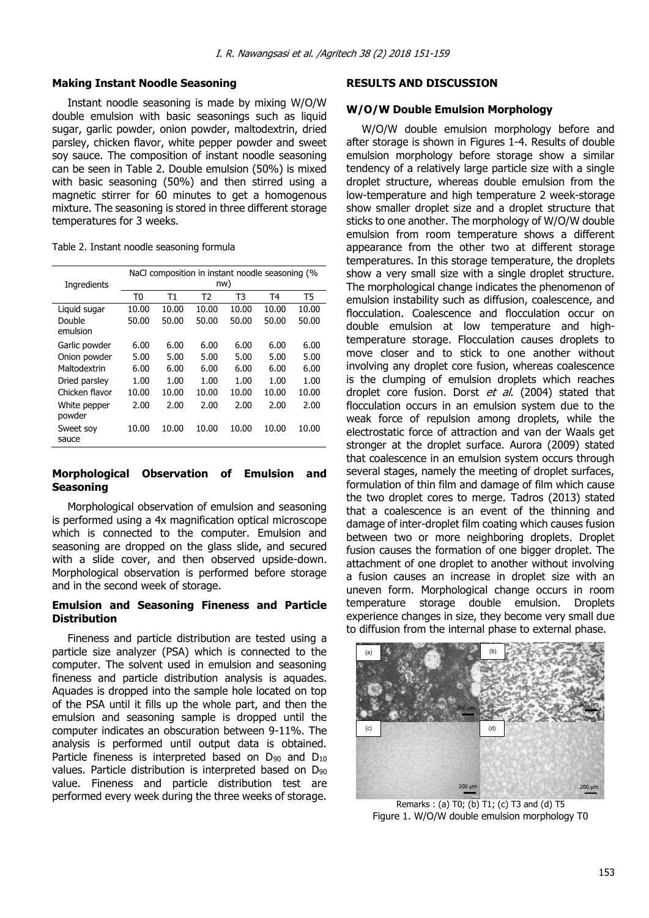## **Making Instant Noodle Seasoning**

Instant noodle seasoning is made by mixing W/O/W double emulsion with basic seasonings such as liquid sugar, garlic powder, onion powder, maltodextrin, dried parsley, chicken flavor, white pepper powder and sweet soy sauce. The composition of instant noodle seasoning can be seen in Table 2. Double emulsion (50%) is mixed with basic seasoning (50%) and then stirred using a magnetic stirrer for 60 minutes to get a homogenous mixture. The seasoning is stored in three different storage temperatures for 3 weeks.

Table 2. Instant noodle seasoning formula

| NaCl composition in instant noodle seasoning (% |       |       |       |       |       |  |  |  |
|-------------------------------------------------|-------|-------|-------|-------|-------|--|--|--|
| nw)                                             |       |       |       |       |       |  |  |  |
| T0                                              | Т1    | T2    | T3    | T4    | T5    |  |  |  |
| 10.00                                           | 10.00 | 10.00 | 10.00 | 10.00 | 10.00 |  |  |  |
| 50.00                                           | 50.00 | 50.00 | 50.00 | 50.00 | 50.00 |  |  |  |
|                                                 |       |       |       |       |       |  |  |  |
| 6.00                                            | 6.00  | 6.00  | 6.00  | 6.00  | 6.00  |  |  |  |
| 5.00                                            | 5.00  | 5.00  | 5.00  | 5.00  | 5.00  |  |  |  |
| 6.00                                            | 6.00  | 6.00  | 6.00  | 6.00  | 6.00  |  |  |  |
| 1.00                                            | 1.00  | 1.00  | 1.00  | 1.00  | 1.00  |  |  |  |
| 10.00                                           | 10.00 | 10.00 | 10.00 | 10.00 | 10.00 |  |  |  |
| 2.00                                            | 2.00  | 2.00  | 2.00  | 2.00  | 2.00  |  |  |  |
| 10.00                                           | 10.00 | 10.00 | 10.00 | 10.00 | 10.00 |  |  |  |
|                                                 |       |       |       |       |       |  |  |  |

## **Morphological Observation of Emulsion and Seasoning**

Morphological observation of emulsion and seasoning is performed using a 4x magnification optical microscope which is connected to the computer. Emulsion and seasoning are dropped on the glass slide, and secured with a slide cover, and then observed upside-down. Morphological observation is performed before storage and in the second week of storage.

## **Emulsion and Seasoning Fineness and Particle Distribution**

Fineness and particle distribution are tested using a particle size analyzer (PSA) which is connected to the computer. The solvent used in emulsion and seasoning fineness and particle distribution analysis is aquades. Aquades is dropped into the sample hole located on top of the PSA until it fills up the whole part, and then the emulsion and seasoning sample is dropped until the computer indicates an obscuration between 9-11%. The analysis is performed until output data is obtained. Particle fineness is interpreted based on  $D_{90}$  and  $D_{10}$ values. Particle distribution is interpreted based on D<sub>90</sub> value. Fineness and particle distribution test are performed every week during the three weeks of storage.

#### **RESULTS AND DISCUSSION**

#### **W/O/W Double Emulsion Morphology**

W/O/W double emulsion morphology before and after storage is shown in Figures 1-4. Results of double emulsion morphology before storage show a similar tendency of a relatively large particle size with a single droplet structure, whereas double emulsion from the low-temperature and high temperature 2 week-storage show smaller droplet size and a droplet structure that sticks to one another. The morphology of W/O/W double emulsion from room temperature shows a different appearance from the other two at different storage temperatures. In this storage temperature, the droplets show a very small size with a single droplet structure. The morphological change indicates the phenomenon of emulsion instability such as diffusion, coalescence, and flocculation. Coalescence and flocculation occur on double emulsion at low temperature and hightemperature storage. Flocculation causes droplets to move closer and to stick to one another without involving any droplet core fusion, whereas coalescence is the clumping of emulsion droplets which reaches droplet core fusion. Dorst et al. (2004) stated that flocculation occurs in an emulsion system due to the weak force of repulsion among droplets, while the electrostatic force of attraction and van der Waals get stronger at the droplet surface. Aurora (2009) stated that coalescence in an emulsion system occurs through several stages, namely the meeting of droplet surfaces, formulation of thin film and damage of film which cause the two droplet cores to merge. Tadros (2013) stated that a coalescence is an event of the thinning and damage of inter-droplet film coating which causes fusion between two or more neighboring droplets. Droplet fusion causes the formation of one bigger droplet. The attachment of one droplet to another without involving a fusion causes an increase in droplet size with an uneven form. Morphological change occurs in room temperature storage double emulsion. Droplets experience changes in size, they become very small due to diffusion from the internal phase to external phase.



Remarks : (a) T0; (b) T1; (c) T3 and (d) T5 Figure 1. W/O/W double emulsion morphology T0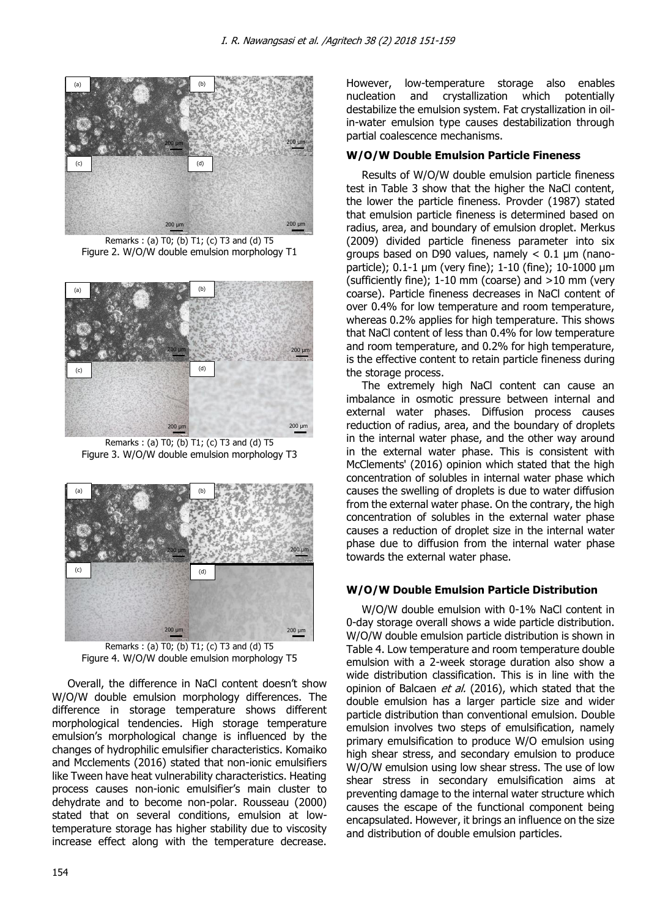

Remarks : (a) T0; (b) T1; (c) T3 and (d) T5 Figure 2. W/O/W double emulsion morphology T1



Remarks : (a) T0; (b) T1; (c) T3 and (d) T5 Figure 3. W/O/W double emulsion morphology T3



Remarks : (a) T0; (b) T1; (c) T3 and (d) T5 Figure 4. W/O/W double emulsion morphology T5

Overall, the difference in NaCl content doesn't show W/O/W double emulsion morphology differences. The difference in storage temperature shows different morphological tendencies. High storage temperature emulsion's morphological change is influenced by the changes of hydrophilic emulsifier characteristics. Komaiko and Mcclements (2016) stated that non-ionic emulsifiers like Tween have heat vulnerability characteristics. Heating process causes non-ionic emulsifier's main cluster to dehydrate and to become non-polar. Rousseau (2000) stated that on several conditions, emulsion at lowtemperature storage has higher stability due to viscosity increase effect along with the temperature decrease. However, low-temperature storage also enables nucleation and crystallization which potentially destabilize the emulsion system. Fat crystallization in oilin-water emulsion type causes destabilization through partial coalescence mechanisms.

# **W/O/W Double Emulsion Particle Fineness**

Results of W/O/W double emulsion particle fineness test in Table 3 show that the higher the NaCl content, the lower the particle fineness. Provder (1987) stated that emulsion particle fineness is determined based on radius, area, and boundary of emulsion droplet. Merkus (2009) divided particle fineness parameter into six groups based on D90 values, namely  $< 0.1$  µm (nanoparticle); 0.1-1 µm (very fine); 1-10 (fine); 10-1000 µm (sufficiently fine);  $1-10$  mm (coarse) and  $>10$  mm (very coarse). Particle fineness decreases in NaCl content of over 0.4% for low temperature and room temperature, whereas 0.2% applies for high temperature. This shows that NaCl content of less than 0.4% for low temperature and room temperature, and 0.2% for high temperature, is the effective content to retain particle fineness during the storage process.

The extremely high NaCl content can cause an imbalance in osmotic pressure between internal and external water phases. Diffusion process causes reduction of radius, area, and the boundary of droplets in the internal water phase, and the other way around in the external water phase. This is consistent with McClements' (2016) opinion which stated that the high concentration of solubles in internal water phase which causes the swelling of droplets is due to water diffusion from the external water phase. On the contrary, the high concentration of solubles in the external water phase causes a reduction of droplet size in the internal water phase due to diffusion from the internal water phase towards the external water phase.

# **W/O/W Double Emulsion Particle Distribution**

W/O/W double emulsion with 0-1% NaCl content in 0-day storage overall shows a wide particle distribution. W/O/W double emulsion particle distribution is shown in Table 4. Low temperature and room temperature double emulsion with a 2-week storage duration also show a wide distribution classification. This is in line with the opinion of Balcaen et al. (2016), which stated that the double emulsion has a larger particle size and wider particle distribution than conventional emulsion. Double emulsion involves two steps of emulsification, namely primary emulsification to produce W/O emulsion using high shear stress, and secondary emulsion to produce W/O/W emulsion using low shear stress. The use of low shear stress in secondary emulsification aims at preventing damage to the internal water structure which causes the escape of the functional component being encapsulated. However, it brings an influence on the size and distribution of double emulsion particles.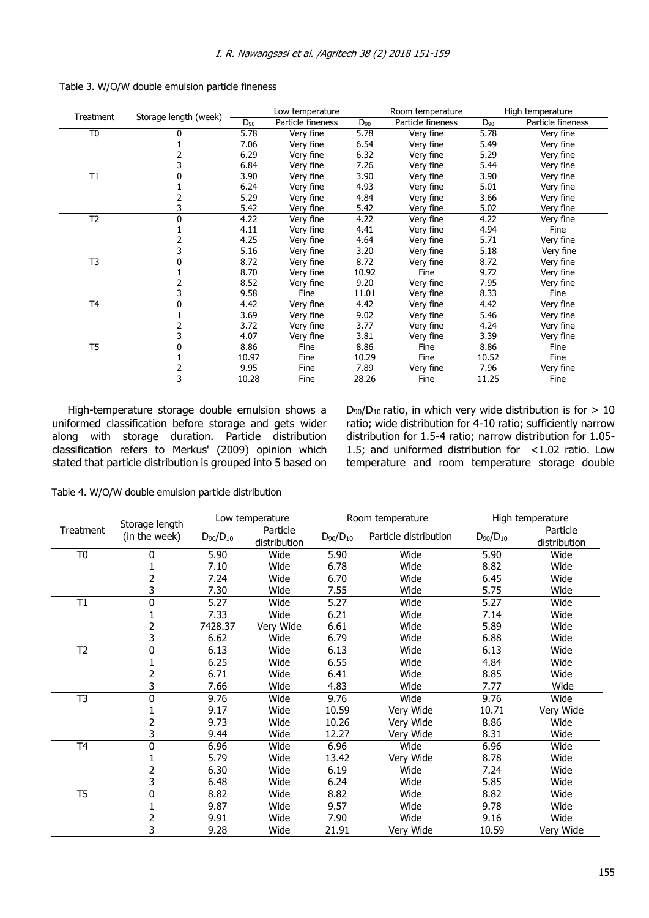| Treatment      |                       | Low temperature |                   | Room temperature |                   | High temperature |                   |
|----------------|-----------------------|-----------------|-------------------|------------------|-------------------|------------------|-------------------|
|                | Storage length (week) | $D_{90}$        | Particle fineness | $D_{90}$         | Particle fineness | $D_{90}$         | Particle fineness |
| T <sub>0</sub> | 0                     | 5.78            | Very fine         | 5.78             | Very fine         | 5.78             | Very fine         |
|                |                       | 7.06            | Very fine         | 6.54             | Very fine         | 5.49             | Very fine         |
|                |                       | 6.29            | Very fine         | 6.32             | Very fine         | 5.29             | Very fine         |
|                | 3                     | 6.84            | Very fine         | 7.26             | Very fine         | 5.44             | Very fine         |
| T1             | 0                     | 3.90            | Very fine         | 3.90             | Very fine         | 3.90             | Very fine         |
|                |                       | 6.24            | Very fine         | 4.93             | Very fine         | 5.01             | Very fine         |
|                |                       | 5.29            | Very fine         | 4.84             | Very fine         | 3.66             | Very fine         |
|                | 3                     | 5.42            | Very fine         | 5.42             | Very fine         | 5.02             | Very fine         |
| T <sub>2</sub> | 0                     | 4.22            | Very fine         | 4.22             | Very fine         | 4.22             | Very fine         |
|                |                       | 4.11            | Very fine         | 4.41             | Very fine         | 4.94             | Fine              |
|                |                       | 4.25            | Very fine         | 4.64             | Very fine         | 5.71             | Very fine         |
|                |                       | 5.16            | Very fine         | 3.20             | Very fine         | 5.18             | Very fine         |
| T <sub>3</sub> | 0                     | 8.72            | Very fine         | 8.72             | Very fine         | 8.72             | Very fine         |
|                |                       | 8.70            | Very fine         | 10.92            | Fine              | 9.72             | Very fine         |
|                |                       | 8.52            | Very fine         | 9.20             | Very fine         | 7.95             | Very fine         |
|                |                       | 9.58            | Fine              | 11.01            | Very fine         | 8.33             | Fine              |
| T <sub>4</sub> | 0                     | 4.42            | Very fine         | 4.42             | Very fine         | 4.42             | Very fine         |
|                |                       | 3.69            | Very fine         | 9.02             | Very fine         | 5.46             | Very fine         |
|                |                       | 3.72            | Very fine         | 3.77             | Very fine         | 4.24             | Very fine         |
|                |                       | 4.07            | Very fine         | 3.81             | Very fine         | 3.39             | Very fine         |
| T <sub>5</sub> | 0                     | 8.86            | Fine              | 8.86             | Fine              | 8.86             | Fine              |
|                |                       | 10.97           | Fine              | 10.29            | Fine              | 10.52            | Fine              |
|                |                       | 9.95            | Fine              | 7.89             | Very fine         | 7.96             | Very fine         |
|                |                       | 10.28           | Fine              | 28.26            | Fine              | 11.25            | Fine              |

Table 3. W/O/W double emulsion particle fineness

High-temperature storage double emulsion shows a uniformed classification before storage and gets wider along with storage duration. Particle distribution classification refers to Merkus' (2009) opinion which stated that particle distribution is grouped into 5 based on  $D_{90}/D_{10}$  ratio, in which very wide distribution is for  $> 10$ ratio; wide distribution for 4-10 ratio; sufficiently narrow distribution for 1.5-4 ratio; narrow distribution for 1.05- 1.5; and uniformed distribution for <1.02 ratio. Low temperature and room temperature storage double

Table 4. W/O/W double emulsion particle distribution

|                 |                                 |                 | Low temperature          |                 | Room temperature      |                 | High temperature         |  |
|-----------------|---------------------------------|-----------------|--------------------------|-----------------|-----------------------|-----------------|--------------------------|--|
| Treatment       | Storage length<br>(in the week) | $D_{90}/D_{10}$ | Particle<br>distribution | $D_{90}/D_{10}$ | Particle distribution | $D_{90}/D_{10}$ | Particle<br>distribution |  |
| T <sub>0</sub>  | 0                               | 5.90            | Wide                     | 5.90            | Wide                  | 5.90            | Wide                     |  |
|                 |                                 | 7.10            | Wide                     | 6.78            | Wide                  | 8.82            | Wide                     |  |
|                 | 2                               | 7.24            | Wide                     | 6.70            | Wide                  | 6.45            | Wide                     |  |
|                 | 3                               | 7.30            | Wide                     | 7.55            | Wide                  | 5.75            | Wide                     |  |
| T1              | 0                               | 5.27            | Wide                     | 5.27            | Wide                  | 5.27            | Wide                     |  |
|                 |                                 | 7.33            | Wide                     | 6.21            | Wide                  | 7.14            | Wide                     |  |
|                 | 2                               | 7428.37         | Very Wide                | 6.61            | Wide                  | 5.89            | Wide                     |  |
|                 | 3                               | 6.62            | Wide                     | 6.79            | Wide                  | 6.88            | Wide                     |  |
| T <sub>2</sub>  | $\mathbf 0$                     | 6.13            | Wide                     | 6.13            | Wide                  | 6.13            | Wide                     |  |
|                 |                                 | 6.25            | Wide                     | 6.55            | Wide                  | 4.84            | Wide                     |  |
|                 |                                 | 6.71            | Wide                     | 6.41            | Wide                  | 8.85            | Wide                     |  |
|                 | 3                               | 7.66            | Wide                     | 4.83            | Wide                  | 7.77            | Wide                     |  |
| T <sub>3</sub>  | 0                               | 9.76            | Wide                     | 9.76            | Wide                  | 9.76            | Wide                     |  |
|                 |                                 | 9.17            | Wide                     | 10.59           | Very Wide             | 10.71           | Very Wide                |  |
|                 | 2                               | 9.73            | Wide                     | 10.26           | Very Wide             | 8.86            | Wide                     |  |
|                 | 3                               | 9.44            | Wide                     | 12.27           | Very Wide             | 8.31            | Wide                     |  |
| T <sub>4</sub>  | 0                               | 6.96            | Wide                     | 6.96            | Wide                  | 6.96            | Wide                     |  |
|                 |                                 | 5.79            | Wide                     | 13.42           | Very Wide             | 8.78            | Wide                     |  |
|                 | 2                               | 6.30            | Wide                     | 6.19            | Wide                  | 7.24            | Wide                     |  |
|                 | 3                               | 6.48            | Wide                     | 6.24            | Wide                  | 5.85            | Wide                     |  |
| $\overline{T5}$ | $\mathbf 0$                     | 8.82            | Wide                     | 8.82            | Wide                  | 8.82            | Wide                     |  |
|                 |                                 | 9.87            | Wide                     | 9.57            | Wide                  | 9.78            | Wide                     |  |
|                 | 2                               | 9.91            | Wide                     | 7.90            | Wide                  | 9.16            | Wide                     |  |
|                 | 3                               | 9.28            | Wide                     | 21.91           | Very Wide             | 10.59           | Very Wide                |  |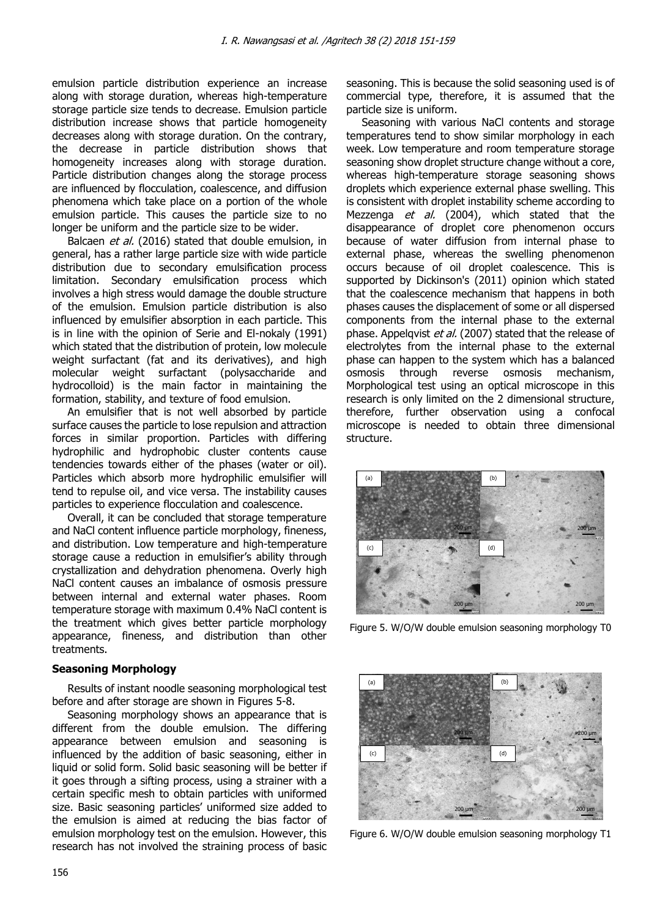emulsion particle distribution experience an increase along with storage duration, whereas high-temperature storage particle size tends to decrease. Emulsion particle distribution increase shows that particle homogeneity decreases along with storage duration. On the contrary, the decrease in particle distribution shows that homogeneity increases along with storage duration. Particle distribution changes along the storage process are influenced by flocculation, coalescence, and diffusion phenomena which take place on a portion of the whole emulsion particle. This causes the particle size to no longer be uniform and the particle size to be wider.

Balcaen *et al.* (2016) stated that double emulsion, in general, has a rather large particle size with wide particle distribution due to secondary emulsification process limitation. Secondary emulsification process which involves a high stress would damage the double structure of the emulsion. Emulsion particle distribution is also influenced by emulsifier absorption in each particle. This is in line with the opinion of Serie and El-nokaly (1991) which stated that the distribution of protein, low molecule weight surfactant (fat and its derivatives), and high molecular weight surfactant (polysaccharide and hydrocolloid) is the main factor in maintaining the formation, stability, and texture of food emulsion.

An emulsifier that is not well absorbed by particle surface causes the particle to lose repulsion and attraction forces in similar proportion. Particles with differing hydrophilic and hydrophobic cluster contents cause tendencies towards either of the phases (water or oil). Particles which absorb more hydrophilic emulsifier will tend to repulse oil, and vice versa. The instability causes particles to experience flocculation and coalescence.

Overall, it can be concluded that storage temperature and NaCl content influence particle morphology, fineness, and distribution. Low temperature and high-temperature storage cause a reduction in emulsifier's ability through crystallization and dehydration phenomena. Overly high NaCl content causes an imbalance of osmosis pressure between internal and external water phases. Room temperature storage with maximum 0.4% NaCl content is the treatment which gives better particle morphology appearance, fineness, and distribution than other treatments.

## **Seasoning Morphology**

Results of instant noodle seasoning morphological test before and after storage are shown in Figures 5-8.

Seasoning morphology shows an appearance that is different from the double emulsion. The differing appearance between emulsion and seasoning is influenced by the addition of basic seasoning, either in liquid or solid form. Solid basic seasoning will be better if it goes through a sifting process, using a strainer with a certain specific mesh to obtain particles with uniformed size. Basic seasoning particles' uniformed size added to the emulsion is aimed at reducing the bias factor of emulsion morphology test on the emulsion. However, this research has not involved the straining process of basic

seasoning. This is because the solid seasoning used is of commercial type, therefore, it is assumed that the particle size is uniform.

Seasoning with various NaCl contents and storage temperatures tend to show similar morphology in each week. Low temperature and room temperature storage seasoning show droplet structure change without a core, whereas high-temperature storage seasoning shows droplets which experience external phase swelling. This is consistent with droplet instability scheme according to Mezzenga et al. (2004), which stated that the disappearance of droplet core phenomenon occurs because of water diffusion from internal phase to external phase, whereas the swelling phenomenon occurs because of oil droplet coalescence. This is supported by Dickinson's (2011) opinion which stated that the coalescence mechanism that happens in both phases causes the displacement of some or all dispersed components from the internal phase to the external phase. Appelqvist et al. (2007) stated that the release of electrolytes from the internal phase to the external phase can happen to the system which has a balanced osmosis through reverse osmosis mechanism, Morphological test using an optical microscope in this research is only limited on the 2 dimensional structure, therefore, further observation using a confocal microscope is needed to obtain three dimensional structure.



Figure 5. W/O/W double emulsion seasoning morphology T0



Figure 6. W/O/W double emulsion seasoning morphology T1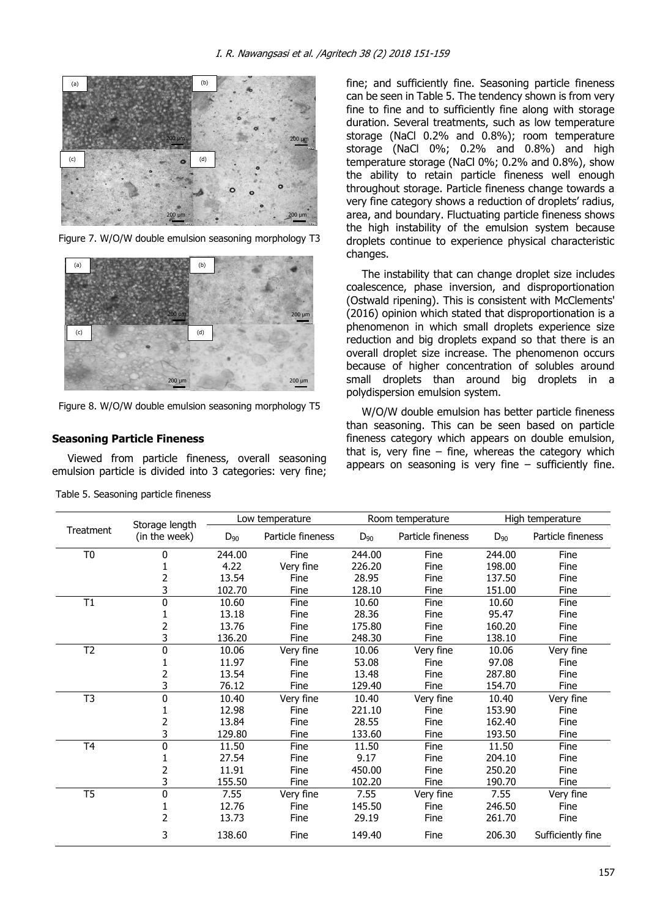

Figure 7. W/O/W double emulsion seasoning morphology T3



Figure 8. W/O/W double emulsion seasoning morphology T5

## **Seasoning Particle Fineness**

Viewed from particle fineness, overall seasoning emulsion particle is divided into 3 categories: very fine; fine; and sufficiently fine. Seasoning particle fineness can be seen in Table 5. The tendency shown is from very fine to fine and to sufficiently fine along with storage duration. Several treatments, such as low temperature storage (NaCl 0.2% and 0.8%); room temperature storage (NaCl 0%; 0.2% and 0.8%) and high temperature storage (NaCl 0%; 0.2% and 0.8%), show the ability to retain particle fineness well enough throughout storage. Particle fineness change towards a very fine category shows a reduction of droplets' radius, area, and boundary. Fluctuating particle fineness shows the high instability of the emulsion system because droplets continue to experience physical characteristic changes.

The instability that can change droplet size includes coalescence, phase inversion, and disproportionation (Ostwald ripening). This is consistent with McClements' (2016) opinion which stated that disproportionation is a phenomenon in which small droplets experience size reduction and big droplets expand so that there is an overall droplet size increase. The phenomenon occurs because of higher concentration of solubles around small droplets than around big droplets in a polydispersion emulsion system.

W/O/W double emulsion has better particle fineness than seasoning. This can be seen based on particle fineness category which appears on double emulsion, that is, very fine  $-$  fine, whereas the category which appears on seasoning is very fine  $-$  sufficiently fine.

| Storage length |               |          | Low temperature   |          | Room temperature  | High temperature |                   |
|----------------|---------------|----------|-------------------|----------|-------------------|------------------|-------------------|
| Treatment      | (in the week) | $D_{90}$ | Particle fineness | $D_{90}$ | Particle fineness | $D_{90}$         | Particle fineness |
| T <sub>0</sub> | 0             | 244.00   | Fine              | 244.00   | Fine              | 244.00           | Fine              |
|                |               | 4.22     | Very fine         | 226.20   | Fine              | 198.00           | Fine              |
|                | 2             | 13.54    | Fine              | 28.95    | Fine              | 137.50           | Fine              |
|                | 3             | 102.70   | Fine              | 128.10   | Fine              | 151.00           | Fine              |
| T1             | 0             | 10.60    | Fine              | 10.60    | Fine              | 10.60            | Fine              |
|                |               | 13.18    | Fine              | 28.36    | Fine              | 95.47            | Fine              |
|                | 2             | 13.76    | Fine              | 175.80   | Fine              | 160.20           | Fine              |
|                | 3             | 136.20   | Fine              | 248.30   | Fine              | 138.10           | Fine              |
| T <sub>2</sub> | 0             | 10.06    | Very fine         | 10.06    | Very fine         | 10.06            | Very fine         |
|                |               | 11.97    | Fine              | 53.08    | Fine              | 97.08            | Fine              |
|                | 2             | 13.54    | Fine              | 13.48    | Fine              | 287.80           | Fine              |
|                | 3             | 76.12    | Fine              | 129.40   | Fine              | 154.70           | Fine              |
| T <sub>3</sub> | 0             | 10.40    | Very fine         | 10.40    | Very fine         | 10.40            | Very fine         |
|                |               | 12.98    | Fine              | 221.10   | Fine              | 153.90           | Fine              |
|                | 2             | 13.84    | Fine              | 28.55    | Fine              | 162.40           | Fine              |
|                | 3             | 129.80   | Fine              | 133.60   | Fine              | 193.50           | Fine              |
| T <sub>4</sub> | 0             | 11.50    | Fine              | 11.50    | Fine              | 11.50            | Fine              |
|                |               | 27.54    | Fine              | 9.17     | Fine              | 204.10           | Fine              |
|                | 2             | 11.91    | Fine              | 450.00   | Fine              | 250.20           | Fine              |
|                | 3             | 155.50   | Fine              | 102.20   | Fine              | 190.70           | Fine              |
| T5             | 0             | 7.55     | Very fine         | 7.55     | Very fine         | 7.55             | Very fine         |
|                |               | 12.76    | Fine              | 145.50   | Fine              | 246.50           | Fine              |
|                | 2             | 13.73    | Fine              | 29.19    | Fine              | 261.70           | Fine              |
|                | 3             | 138.60   | Fine              | 149.40   | Fine              | 206.30           | Sufficiently fine |

Table 5. Seasoning particle fineness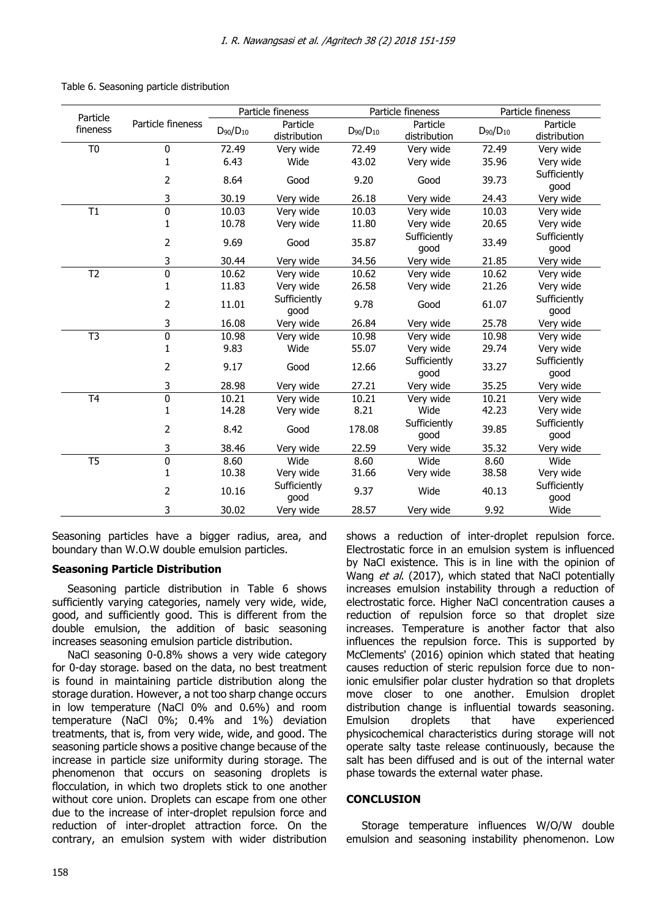|                      |                   |                 | Particle fineness    |                 | Particle fineness    |                 | Particle fineness    |  |
|----------------------|-------------------|-----------------|----------------------|-----------------|----------------------|-----------------|----------------------|--|
| Particle<br>fineness | Particle fineness | $D_{90}/D_{10}$ | Particle             | $D_{90}/D_{10}$ | Particle             | $D_{90}/D_{10}$ | Particle             |  |
|                      |                   |                 | distribution         |                 | distribution         |                 | distribution         |  |
| T <sub>0</sub>       | $\mathbf 0$       | 72.49           | Very wide            | 72.49           | Very wide            | 72.49           | Very wide            |  |
|                      | $\mathbf{1}$      | 6.43            | Wide                 | 43.02           | Very wide            | 35.96           | Very wide            |  |
|                      | 2                 | 8.64            | Good                 | 9.20            | Good                 | 39.73           | Sufficiently<br>good |  |
|                      | 3                 | 30.19           | Very wide            | 26.18           | Very wide            | 24.43           | Very wide            |  |
| T1                   | $\pmb{0}$         | 10.03           | Very wide            | 10.03           | Very wide            | 10.03           | Very wide            |  |
|                      | 1                 | 10.78           | Very wide            | 11.80           | Very wide            | 20.65           | Very wide            |  |
|                      | 2                 | 9.69            | Good                 | 35.87           | Sufficiently<br>good | 33.49           | Sufficiently<br>good |  |
|                      | 3                 | 30.44           | Very wide            | 34.56           | Very wide            | 21.85           | Very wide            |  |
| T <sub>2</sub>       | 0                 | 10.62           | Very wide            | 10.62           | Very wide            | 10.62           | Very wide            |  |
|                      | $\mathbf{1}$      | 11.83           | Very wide            | 26.58           | Very wide            | 21.26           | Very wide            |  |
|                      | 2                 | 11.01           | Sufficiently<br>good | 9.78            | Good                 | 61.07           | Sufficiently<br>good |  |
|                      | 3                 | 16.08           | Very wide            | 26.84           | Very wide            | 25.78           | Very wide            |  |
| T <sub>3</sub>       | $\mathbf 0$       | 10.98           | Very wide            | 10.98           | Very wide            | 10.98           | Very wide            |  |
|                      | 1                 | 9.83            | Wide                 | 55.07           | Very wide            | 29.74           | Very wide            |  |
|                      | 2                 | 9.17            | Good                 | 12.66           | Sufficiently<br>good | 33.27           | Sufficiently<br>good |  |
|                      | 3                 | 28.98           | Very wide            | 27.21           | Very wide            | 35.25           | Very wide            |  |
| T <sub>4</sub>       | $\mathbf 0$       | 10.21           | Very wide            | 10.21           | Very wide            | 10.21           | Very wide            |  |
|                      | $\mathbf{1}$      | 14.28           | Very wide            | 8.21            | Wide                 | 42.23           | Very wide            |  |
|                      | 2                 | 8.42            | Good                 | 178.08          | Sufficiently<br>good | 39.85           | Sufficiently<br>good |  |
|                      | 3                 | 38.46           | Very wide            | 22.59           | Very wide            | 35.32           | Very wide            |  |
| T <sub>5</sub>       | $\overline{0}$    | 8.60            | Wide                 | 8.60            | Wide                 | 8.60            | Wide                 |  |
|                      | $\mathbf{1}$      | 10.38           | Very wide            | 31.66           | Very wide            | 38.58           | Very wide            |  |
|                      | 2                 | 10.16           | Sufficiently<br>good | 9.37            | Wide                 | 40.13           | Sufficiently<br>good |  |
|                      | 3                 | 30.02           | Very wide            | 28.57           | Very wide            | 9.92            | Wide                 |  |

Table 6. Seasoning particle distribution

Seasoning particles have a bigger radius, area, and boundary than W.O.W double emulsion particles.

# **Seasoning Particle Distribution**

Seasoning particle distribution in Table 6 shows sufficiently varying categories, namely very wide, wide, good, and sufficiently good. This is different from the double emulsion, the addition of basic seasoning increases seasoning emulsion particle distribution.

NaCl seasoning 0-0.8% shows a very wide category for 0-day storage. based on the data, no best treatment is found in maintaining particle distribution along the storage duration. However, a not too sharp change occurs in low temperature (NaCl 0% and 0.6%) and room temperature (NaCl 0%; 0.4% and 1%) deviation treatments, that is, from very wide, wide, and good. The seasoning particle shows a positive change because of the increase in particle size uniformity during storage. The phenomenon that occurs on seasoning droplets is flocculation, in which two droplets stick to one another without core union. Droplets can escape from one other due to the increase of inter-droplet repulsion force and reduction of inter-droplet attraction force. On the contrary, an emulsion system with wider distribution

158

shows a reduction of inter-droplet repulsion force. Electrostatic force in an emulsion system is influenced by NaCl existence. This is in line with the opinion of Wang et al. (2017), which stated that NaCl potentially increases emulsion instability through a reduction of electrostatic force. Higher NaCl concentration causes a reduction of repulsion force so that droplet size increases. Temperature is another factor that also influences the repulsion force. This is supported by McClements' (2016) opinion which stated that heating causes reduction of steric repulsion force due to nonionic emulsifier polar cluster hydration so that droplets move closer to one another. Emulsion droplet distribution change is influential towards seasoning. Emulsion droplets that have experienced physicochemical characteristics during storage will not operate salty taste release continuously, because the salt has been diffused and is out of the internal water phase towards the external water phase.

## **CONCLUSION**

Storage temperature influences W/O/W double emulsion and seasoning instability phenomenon. Low